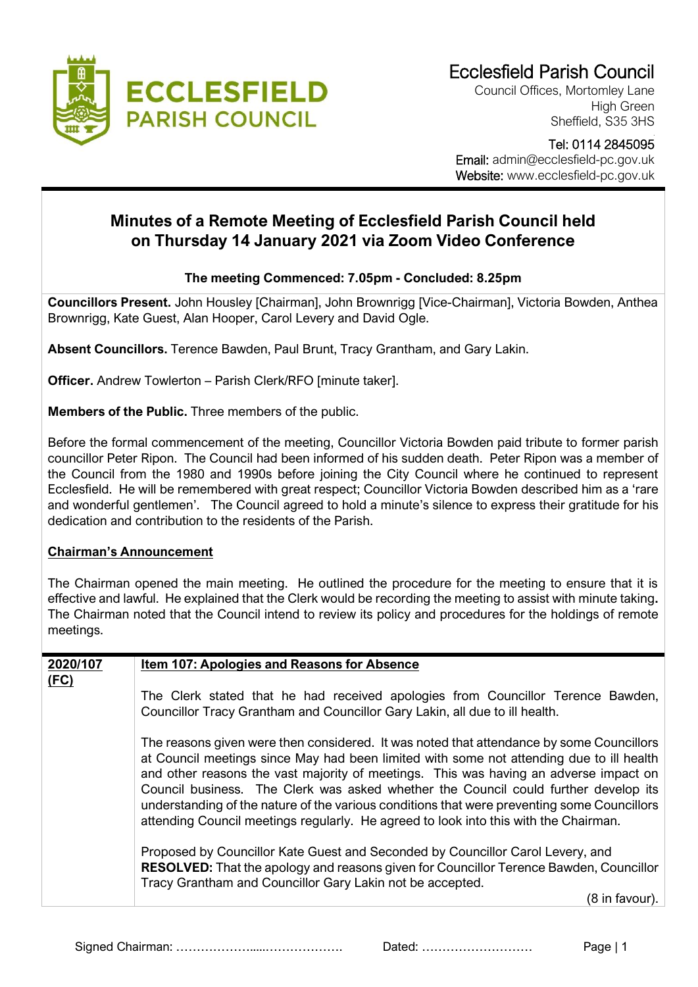

Council Offices, Mortomley Lane High Green Sheffield, S35 3HS

### Tel: 0114 2845095 Email: admin@ecclesfield-pc.gov.uk Website: www.ecclesfield-pc.gov.uk

## **Minutes of a Remote Meeting of Ecclesfield Parish Council held on Thursday 14 January 2021 via Zoom Video Conference**

## **The meeting Commenced: 7.05pm - Concluded: 8.25pm**

**Councillors Present.** John Housley [Chairman], John Brownrigg [Vice-Chairman], Victoria Bowden, Anthea Brownrigg, Kate Guest, Alan Hooper, Carol Levery and David Ogle.

**Absent Councillors.** Terence Bawden, Paul Brunt, Tracy Grantham, and Gary Lakin.

**Officer.** Andrew Towlerton – Parish Clerk/RFO [minute taker].

**Members of the Public.** Three members of the public.

Before the formal commencement of the meeting, Councillor Victoria Bowden paid tribute to former parish councillor Peter Ripon. The Council had been informed of his sudden death. Peter Ripon was a member of the Council from the 1980 and 1990s before joining the City Council where he continued to represent Ecclesfield. He will be remembered with great respect; Councillor Victoria Bowden described him as a 'rare and wonderful gentlemen'. The Council agreed to hold a minute's silence to express their gratitude for his dedication and contribution to the residents of the Parish.

### **Chairman's Announcement**

The Chairman opened the main meeting. He outlined the procedure for the meeting to ensure that it is effective and lawful. He explained that the Clerk would be recording the meeting to assist with minute taking**.**  The Chairman noted that the Council intend to review its policy and procedures for the holdings of remote meetings.

| 2020/107 | <b>Item 107: Apologies and Reasons for Absence</b>                                                                                                                                                                                                                                                                                                                                                                                                                                                                                                          |  |  |  |  |
|----------|-------------------------------------------------------------------------------------------------------------------------------------------------------------------------------------------------------------------------------------------------------------------------------------------------------------------------------------------------------------------------------------------------------------------------------------------------------------------------------------------------------------------------------------------------------------|--|--|--|--|
| (FC)     |                                                                                                                                                                                                                                                                                                                                                                                                                                                                                                                                                             |  |  |  |  |
|          | The Clerk stated that he had received apologies from Councillor Terence Bawden,                                                                                                                                                                                                                                                                                                                                                                                                                                                                             |  |  |  |  |
|          | Councillor Tracy Grantham and Councillor Gary Lakin, all due to ill health.                                                                                                                                                                                                                                                                                                                                                                                                                                                                                 |  |  |  |  |
|          | The reasons given were then considered. It was noted that attendance by some Councillors<br>at Council meetings since May had been limited with some not attending due to ill health<br>and other reasons the vast majority of meetings. This was having an adverse impact on<br>Council business. The Clerk was asked whether the Council could further develop its<br>understanding of the nature of the various conditions that were preventing some Councillors<br>attending Council meetings regularly. He agreed to look into this with the Chairman. |  |  |  |  |
|          | Proposed by Councillor Kate Guest and Seconded by Councillor Carol Levery, and<br>RESOLVED: That the apology and reasons given for Councillor Terence Bawden, Councillor<br>Tracy Grantham and Councillor Gary Lakin not be accepted.                                                                                                                                                                                                                                                                                                                       |  |  |  |  |
|          | (8 in favour).                                                                                                                                                                                                                                                                                                                                                                                                                                                                                                                                              |  |  |  |  |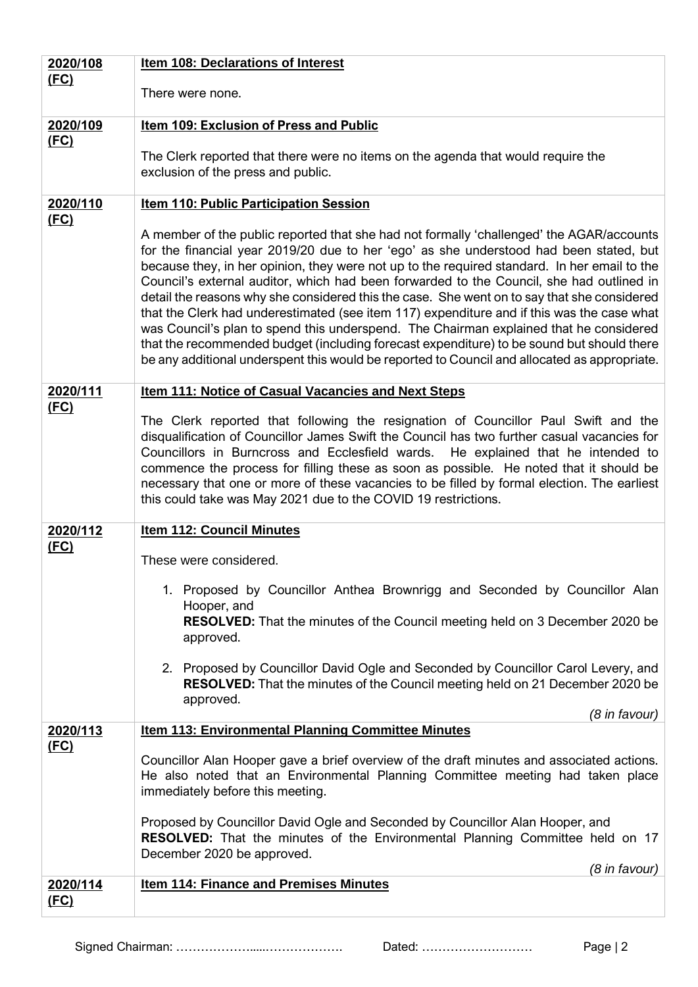| 2020/108         | <b>Item 108: Declarations of Interest</b>                                                                                                                                                                                                                                                                                                                                                                                                                                                                                                                                                                                                                                                                                                                                                                                                                          |  |  |  |  |
|------------------|--------------------------------------------------------------------------------------------------------------------------------------------------------------------------------------------------------------------------------------------------------------------------------------------------------------------------------------------------------------------------------------------------------------------------------------------------------------------------------------------------------------------------------------------------------------------------------------------------------------------------------------------------------------------------------------------------------------------------------------------------------------------------------------------------------------------------------------------------------------------|--|--|--|--|
| (FC)             | There were none.                                                                                                                                                                                                                                                                                                                                                                                                                                                                                                                                                                                                                                                                                                                                                                                                                                                   |  |  |  |  |
|                  |                                                                                                                                                                                                                                                                                                                                                                                                                                                                                                                                                                                                                                                                                                                                                                                                                                                                    |  |  |  |  |
| 2020/109<br>(FC) | Item 109: Exclusion of Press and Public                                                                                                                                                                                                                                                                                                                                                                                                                                                                                                                                                                                                                                                                                                                                                                                                                            |  |  |  |  |
|                  | The Clerk reported that there were no items on the agenda that would require the                                                                                                                                                                                                                                                                                                                                                                                                                                                                                                                                                                                                                                                                                                                                                                                   |  |  |  |  |
|                  | exclusion of the press and public.                                                                                                                                                                                                                                                                                                                                                                                                                                                                                                                                                                                                                                                                                                                                                                                                                                 |  |  |  |  |
| 2020/110         | <b>Item 110: Public Participation Session</b>                                                                                                                                                                                                                                                                                                                                                                                                                                                                                                                                                                                                                                                                                                                                                                                                                      |  |  |  |  |
| (FC)             | A member of the public reported that she had not formally 'challenged' the AGAR/accounts<br>for the financial year 2019/20 due to her 'ego' as she understood had been stated, but<br>because they, in her opinion, they were not up to the required standard. In her email to the<br>Council's external auditor, which had been forwarded to the Council, she had outlined in<br>detail the reasons why she considered this the case. She went on to say that she considered<br>that the Clerk had underestimated (see item 117) expenditure and if this was the case what<br>was Council's plan to spend this underspend. The Chairman explained that he considered<br>that the recommended budget (including forecast expenditure) to be sound but should there<br>be any additional underspent this would be reported to Council and allocated as appropriate. |  |  |  |  |
| 2020/111         | <b>Item 111: Notice of Casual Vacancies and Next Steps</b>                                                                                                                                                                                                                                                                                                                                                                                                                                                                                                                                                                                                                                                                                                                                                                                                         |  |  |  |  |
| (FC)             | The Clerk reported that following the resignation of Councillor Paul Swift and the<br>disqualification of Councillor James Swift the Council has two further casual vacancies for<br>Councillors in Burncross and Ecclesfield wards. He explained that he intended to<br>commence the process for filling these as soon as possible. He noted that it should be<br>necessary that one or more of these vacancies to be filled by formal election. The earliest<br>this could take was May 2021 due to the COVID 19 restrictions.                                                                                                                                                                                                                                                                                                                                   |  |  |  |  |
| 2020/112         | <b>Item 112: Council Minutes</b>                                                                                                                                                                                                                                                                                                                                                                                                                                                                                                                                                                                                                                                                                                                                                                                                                                   |  |  |  |  |
| <u>(FC)</u>      | These were considered.                                                                                                                                                                                                                                                                                                                                                                                                                                                                                                                                                                                                                                                                                                                                                                                                                                             |  |  |  |  |
|                  |                                                                                                                                                                                                                                                                                                                                                                                                                                                                                                                                                                                                                                                                                                                                                                                                                                                                    |  |  |  |  |
|                  | 1. Proposed by Councillor Anthea Brownrigg and Seconded by Councillor Alan<br>Hooper, and                                                                                                                                                                                                                                                                                                                                                                                                                                                                                                                                                                                                                                                                                                                                                                          |  |  |  |  |
|                  | <b>RESOLVED:</b> That the minutes of the Council meeting held on 3 December 2020 be<br>approved.                                                                                                                                                                                                                                                                                                                                                                                                                                                                                                                                                                                                                                                                                                                                                                   |  |  |  |  |
|                  | 2. Proposed by Councillor David Ogle and Seconded by Councillor Carol Levery, and<br>RESOLVED: That the minutes of the Council meeting held on 21 December 2020 be<br>approved.                                                                                                                                                                                                                                                                                                                                                                                                                                                                                                                                                                                                                                                                                    |  |  |  |  |
|                  | (8 in favour)                                                                                                                                                                                                                                                                                                                                                                                                                                                                                                                                                                                                                                                                                                                                                                                                                                                      |  |  |  |  |
| 2020/113<br>(FC) | Item 113: Environmental Planning Committee Minutes                                                                                                                                                                                                                                                                                                                                                                                                                                                                                                                                                                                                                                                                                                                                                                                                                 |  |  |  |  |
|                  | Councillor Alan Hooper gave a brief overview of the draft minutes and associated actions.<br>He also noted that an Environmental Planning Committee meeting had taken place<br>immediately before this meeting.                                                                                                                                                                                                                                                                                                                                                                                                                                                                                                                                                                                                                                                    |  |  |  |  |
|                  | Proposed by Councillor David Ogle and Seconded by Councillor Alan Hooper, and<br><b>RESOLVED:</b> That the minutes of the Environmental Planning Committee held on 17<br>December 2020 be approved.<br>(8 in favour)                                                                                                                                                                                                                                                                                                                                                                                                                                                                                                                                                                                                                                               |  |  |  |  |
| 2020/114<br>(FC) | <b>Item 114: Finance and Premises Minutes</b>                                                                                                                                                                                                                                                                                                                                                                                                                                                                                                                                                                                                                                                                                                                                                                                                                      |  |  |  |  |
|                  |                                                                                                                                                                                                                                                                                                                                                                                                                                                                                                                                                                                                                                                                                                                                                                                                                                                                    |  |  |  |  |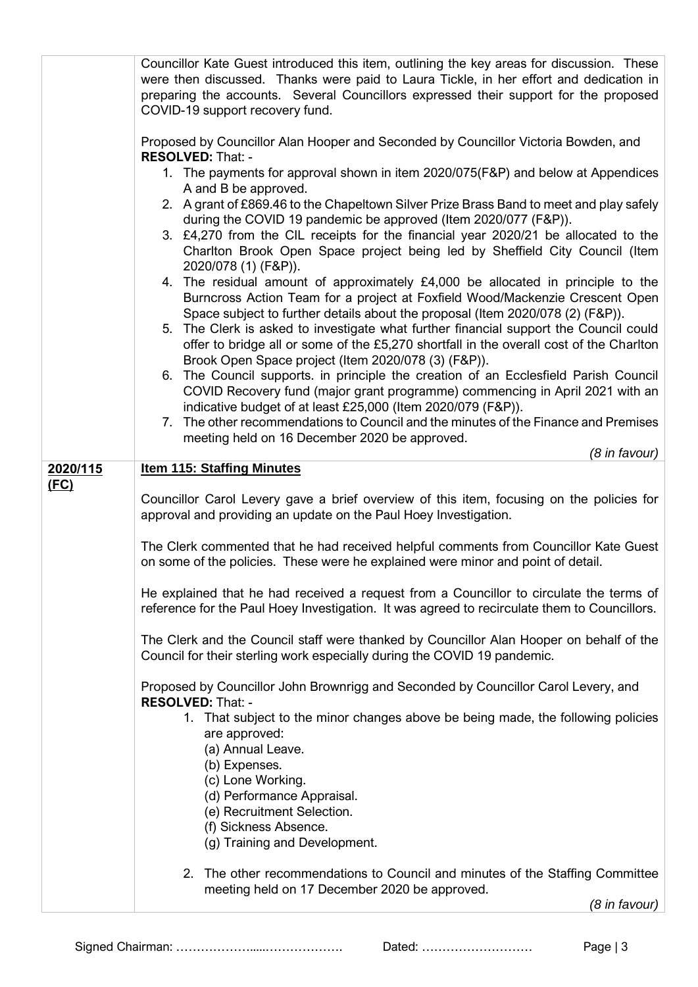|          | Councillor Kate Guest introduced this item, outlining the key areas for discussion. These<br>were then discussed. Thanks were paid to Laura Tickle, in her effort and dedication in<br>preparing the accounts. Several Councillors expressed their support for the proposed<br>COVID-19 support recovery fund.                  |
|----------|---------------------------------------------------------------------------------------------------------------------------------------------------------------------------------------------------------------------------------------------------------------------------------------------------------------------------------|
|          | Proposed by Councillor Alan Hooper and Seconded by Councillor Victoria Bowden, and<br><b>RESOLVED: That: -</b>                                                                                                                                                                                                                  |
|          | 1. The payments for approval shown in item 2020/075(F&P) and below at Appendices<br>A and B be approved.                                                                                                                                                                                                                        |
|          | 2. A grant of £869.46 to the Chapeltown Silver Prize Brass Band to meet and play safely<br>during the COVID 19 pandemic be approved (Item 2020/077 (F&P)).<br>3. £4,270 from the CIL receipts for the financial year 2020/21 be allocated to the<br>Charlton Brook Open Space project being led by Sheffield City Council (Item |
|          | 2020/078 (1) (F&P)).<br>4. The residual amount of approximately £4,000 be allocated in principle to the<br>Burncross Action Team for a project at Foxfield Wood/Mackenzie Crescent Open<br>Space subject to further details about the proposal (Item 2020/078 (2) (F&P)).                                                       |
|          | 5. The Clerk is asked to investigate what further financial support the Council could<br>offer to bridge all or some of the £5,270 shortfall in the overall cost of the Charlton<br>Brook Open Space project (Item 2020/078 (3) (F&P)).                                                                                         |
|          | 6. The Council supports. in principle the creation of an Ecclesfield Parish Council<br>COVID Recovery fund (major grant programme) commencing in April 2021 with an<br>indicative budget of at least £25,000 (Item 2020/079 (F&P)).                                                                                             |
|          | 7. The other recommendations to Council and the minutes of the Finance and Premises<br>meeting held on 16 December 2020 be approved.<br>(8 in favour)                                                                                                                                                                           |
| 2020/115 | <b>Item 115: Staffing Minutes</b>                                                                                                                                                                                                                                                                                               |
| (FC)     | Councillor Carol Levery gave a brief overview of this item, focusing on the policies for<br>approval and providing an update on the Paul Hoey Investigation.                                                                                                                                                                    |
|          | The Clerk commented that he had received helpful comments from Councillor Kate Guest<br>on some of the policies. These were he explained were minor and point of detail.                                                                                                                                                        |
|          | He explained that he had received a request from a Councillor to circulate the terms of<br>reference for the Paul Hoey Investigation. It was agreed to recirculate them to Councillors.                                                                                                                                         |
|          | The Clerk and the Council staff were thanked by Councillor Alan Hooper on behalf of the<br>Council for their sterling work especially during the COVID 19 pandemic.                                                                                                                                                             |
|          | Proposed by Councillor John Brownrigg and Seconded by Councillor Carol Levery, and<br>RESOLVED: That: -                                                                                                                                                                                                                         |
|          | 1. That subject to the minor changes above be being made, the following policies<br>are approved:<br>(a) Annual Leave.                                                                                                                                                                                                          |
|          | (b) Expenses.<br>(c) Lone Working.<br>(d) Performance Appraisal.                                                                                                                                                                                                                                                                |
|          | (e) Recruitment Selection.<br>(f) Sickness Absence.<br>(g) Training and Development.                                                                                                                                                                                                                                            |
|          | 2.<br>The other recommendations to Council and minutes of the Staffing Committee<br>meeting held on 17 December 2020 be approved.<br>(8 in favour)                                                                                                                                                                              |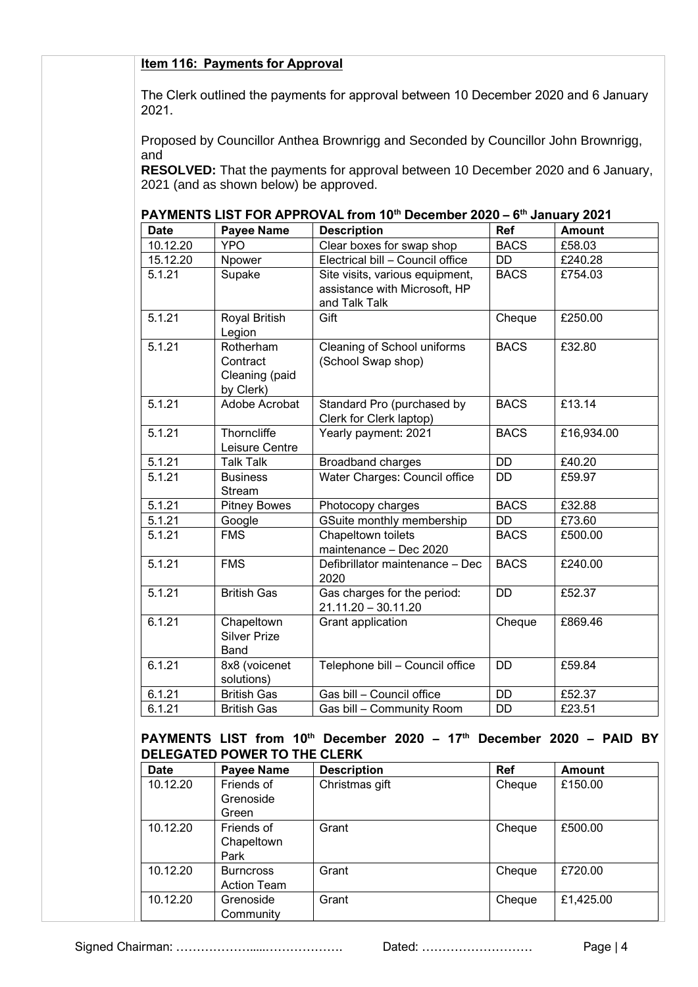#### **Item 116: Payments for Approval**

The Clerk outlined the payments for approval between 10 December 2020 and 6 January 2021.

Proposed by Councillor Anthea Brownrigg and Seconded by Councillor John Brownrigg, and

**RESOLVED:** That the payments for approval between 10 December 2020 and 6 January, 2021 (and as shown below) be approved.

| PAYMENTS LIST FOR APPROVAL from 10 <sup>th</sup> December 2020 - 6 <sup>th</sup> January 2021 |
|-----------------------------------------------------------------------------------------------|
|-----------------------------------------------------------------------------------------------|

| <b>Date</b>                                                                                                                                       | <b>Payee Name</b>                                    | <b>Description</b>                                                                | <b>Ref</b>  | <b>Amount</b> |
|---------------------------------------------------------------------------------------------------------------------------------------------------|------------------------------------------------------|-----------------------------------------------------------------------------------|-------------|---------------|
| 10.12.20                                                                                                                                          | <b>YPO</b>                                           | Clear boxes for swap shop                                                         | <b>BACS</b> | £58.03        |
| 15.12.20                                                                                                                                          | Npower                                               | Electrical bill - Council office                                                  | <b>DD</b>   | £240.28       |
| 5.1.21                                                                                                                                            | Supake                                               | Site visits, various equipment,<br>assistance with Microsoft, HP<br>and Talk Talk | <b>BACS</b> | £754.03       |
| 5.1.21                                                                                                                                            | Royal British<br>Legion                              | Gift                                                                              | Cheque      | £250.00       |
| 5.1.21                                                                                                                                            | Rotherham<br>Contract<br>Cleaning (paid<br>by Clerk) | Cleaning of School uniforms<br>(School Swap shop)                                 | <b>BACS</b> | £32.80        |
| 5.1.21                                                                                                                                            | Adobe Acrobat                                        | Standard Pro (purchased by<br>Clerk for Clerk laptop)                             | <b>BACS</b> | £13.14        |
| 5.1.21                                                                                                                                            | Thorncliffe<br>Leisure Centre                        | Yearly payment: 2021                                                              | <b>BACS</b> | £16,934.00    |
| 5.1.21                                                                                                                                            | <b>Talk Talk</b>                                     | <b>Broadband charges</b>                                                          | <b>DD</b>   | £40.20        |
| 5.1.21                                                                                                                                            | <b>Business</b><br>Stream                            | Water Charges: Council office                                                     | <b>DD</b>   | £59.97        |
| 5.1.21                                                                                                                                            | <b>Pitney Bowes</b>                                  | Photocopy charges                                                                 | <b>BACS</b> | £32.88        |
| 5.1.21                                                                                                                                            | Google                                               | GSuite monthly membership                                                         | <b>DD</b>   | £73.60        |
| 5.1.21                                                                                                                                            | <b>FMS</b>                                           | Chapeltown toilets<br>maintenance - Dec 2020                                      | <b>BACS</b> | £500.00       |
| 5.1.21                                                                                                                                            | <b>FMS</b>                                           | Defibrillator maintenance - Dec<br>2020                                           | <b>BACS</b> | £240.00       |
| 5.1.21                                                                                                                                            | <b>British Gas</b>                                   | Gas charges for the period:<br>$21.11.20 - 30.11.20$                              | <b>DD</b>   | £52.37        |
| 6.1.21                                                                                                                                            | Chapeltown<br><b>Silver Prize</b><br><b>Band</b>     | Grant application                                                                 | Cheque      | £869.46       |
| 6.1.21                                                                                                                                            | 8x8 (voicenet<br>solutions)                          | Telephone bill - Council office                                                   | <b>DD</b>   | £59.84        |
| 6.1.21                                                                                                                                            | <b>British Gas</b>                                   | Gas bill - Council office                                                         | <b>DD</b>   | £52.37        |
| 6.1.21                                                                                                                                            | <b>British Gas</b>                                   | Gas bill - Community Room                                                         | <b>DD</b>   | £23.51        |
| PAYMENTS LIST from 10th December 2020 - 17th December 2020 - PAID BY<br><b>DELEGATED POWER TO THE CLERK</b><br>Davoo Namo<br><b>Dof</b><br>Amount |                                                      |                                                                                   |             |               |

| <b>Date</b> | <b>Payee Name</b> | <b>Description</b> | <b>Ref</b> | <b>Amount</b> |
|-------------|-------------------|--------------------|------------|---------------|
| 10.12.20    | Friends of        | Christmas gift     | Cheque     | £150.00       |
|             | Grenoside         |                    |            |               |
|             | Green             |                    |            |               |
| 10.12.20    | Friends of        | Grant              | Cheque     | £500.00       |
|             | Chapeltown        |                    |            |               |
|             | Park              |                    |            |               |
| 10.12.20    | <b>Burncross</b>  | Grant              | Cheque     | £720.00       |
|             | Action Team       |                    |            |               |
| 10.12.20    | Grenoside         | Grant              | Cheque     | £1,425.00     |
|             | Community         |                    |            |               |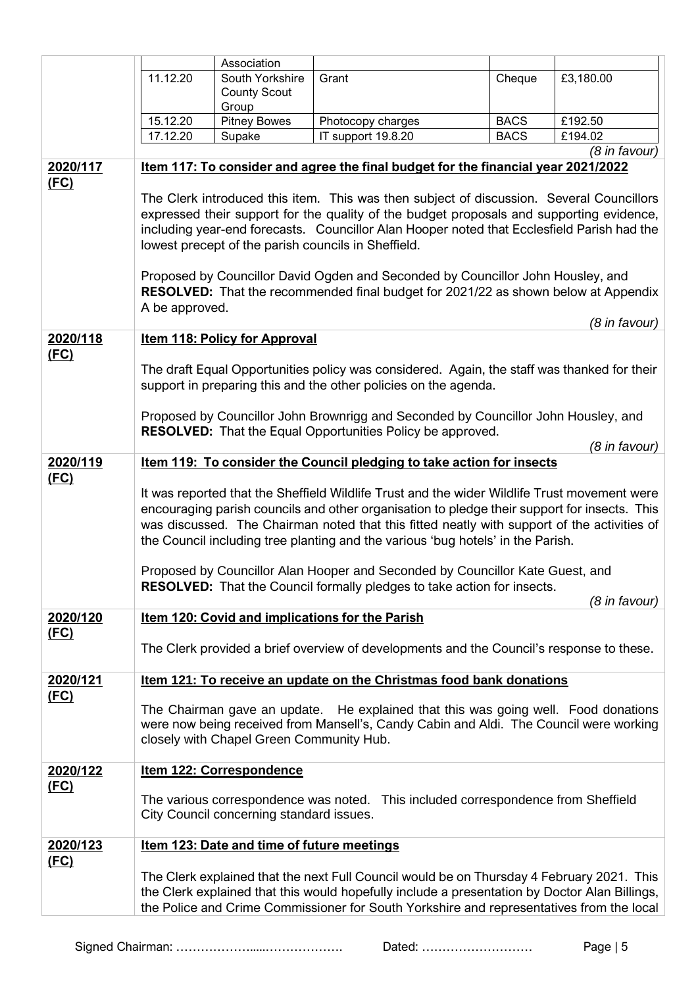|                                                                                   |                                                                                                                                                                                                                                                                                | Association                              |                                                                                               |             |               |  |
|-----------------------------------------------------------------------------------|--------------------------------------------------------------------------------------------------------------------------------------------------------------------------------------------------------------------------------------------------------------------------------|------------------------------------------|-----------------------------------------------------------------------------------------------|-------------|---------------|--|
|                                                                                   | 11.12.20                                                                                                                                                                                                                                                                       | South Yorkshire                          | Grant                                                                                         | Cheque      | £3,180.00     |  |
|                                                                                   |                                                                                                                                                                                                                                                                                | <b>County Scout</b>                      |                                                                                               |             |               |  |
|                                                                                   |                                                                                                                                                                                                                                                                                | Group                                    |                                                                                               |             |               |  |
|                                                                                   | 15.12.20                                                                                                                                                                                                                                                                       | <b>Pitney Bowes</b>                      | Photocopy charges                                                                             | <b>BACS</b> | £192.50       |  |
|                                                                                   | 17.12.20                                                                                                                                                                                                                                                                       | Supake                                   | IT support 19.8.20                                                                            | <b>BACS</b> | £194.02       |  |
|                                                                                   |                                                                                                                                                                                                                                                                                |                                          |                                                                                               |             | (8 in favour) |  |
| 2020/117                                                                          |                                                                                                                                                                                                                                                                                |                                          | Item 117: To consider and agree the final budget for the financial year 2021/2022             |             |               |  |
| (FC)                                                                              |                                                                                                                                                                                                                                                                                |                                          |                                                                                               |             |               |  |
|                                                                                   |                                                                                                                                                                                                                                                                                |                                          | The Clerk introduced this item. This was then subject of discussion. Several Councillors      |             |               |  |
|                                                                                   |                                                                                                                                                                                                                                                                                |                                          | expressed their support for the quality of the budget proposals and supporting evidence,      |             |               |  |
|                                                                                   |                                                                                                                                                                                                                                                                                |                                          | including year-end forecasts. Councillor Alan Hooper noted that Ecclesfield Parish had the    |             |               |  |
|                                                                                   |                                                                                                                                                                                                                                                                                |                                          | lowest precept of the parish councils in Sheffield.                                           |             |               |  |
|                                                                                   |                                                                                                                                                                                                                                                                                |                                          |                                                                                               |             |               |  |
|                                                                                   |                                                                                                                                                                                                                                                                                |                                          | Proposed by Councillor David Ogden and Seconded by Councillor John Housley, and               |             |               |  |
|                                                                                   |                                                                                                                                                                                                                                                                                |                                          | <b>RESOLVED:</b> That the recommended final budget for 2021/22 as shown below at Appendix     |             |               |  |
|                                                                                   | A be approved.                                                                                                                                                                                                                                                                 |                                          |                                                                                               |             |               |  |
| 2020/118                                                                          |                                                                                                                                                                                                                                                                                |                                          |                                                                                               |             | (8 in favour) |  |
| (FC)                                                                              |                                                                                                                                                                                                                                                                                | <b>Item 118: Policy for Approval</b>     |                                                                                               |             |               |  |
|                                                                                   |                                                                                                                                                                                                                                                                                |                                          | The draft Equal Opportunities policy was considered. Again, the staff was thanked for their   |             |               |  |
|                                                                                   |                                                                                                                                                                                                                                                                                |                                          | support in preparing this and the other policies on the agenda.                               |             |               |  |
|                                                                                   |                                                                                                                                                                                                                                                                                |                                          |                                                                                               |             |               |  |
|                                                                                   |                                                                                                                                                                                                                                                                                |                                          | Proposed by Councillor John Brownrigg and Seconded by Councillor John Housley, and            |             |               |  |
|                                                                                   | <b>RESOLVED:</b> That the Equal Opportunities Policy be approved.                                                                                                                                                                                                              |                                          |                                                                                               |             |               |  |
|                                                                                   |                                                                                                                                                                                                                                                                                |                                          |                                                                                               |             | (8 in favour) |  |
| 2020/119                                                                          |                                                                                                                                                                                                                                                                                |                                          | Item 119: To consider the Council pledging to take action for insects                         |             |               |  |
| (FC)                                                                              | It was reported that the Sheffield Wildlife Trust and the wider Wildlife Trust movement were                                                                                                                                                                                   |                                          |                                                                                               |             |               |  |
|                                                                                   |                                                                                                                                                                                                                                                                                |                                          |                                                                                               |             |               |  |
|                                                                                   | encouraging parish councils and other organisation to pledge their support for insects. This<br>was discussed. The Chairman noted that this fitted neatly with support of the activities of<br>the Council including tree planting and the various 'bug hotels' in the Parish. |                                          |                                                                                               |             |               |  |
|                                                                                   |                                                                                                                                                                                                                                                                                |                                          |                                                                                               |             |               |  |
|                                                                                   |                                                                                                                                                                                                                                                                                |                                          |                                                                                               |             |               |  |
|                                                                                   |                                                                                                                                                                                                                                                                                |                                          |                                                                                               |             |               |  |
|                                                                                   | Proposed by Councillor Alan Hooper and Seconded by Councillor Kate Guest, and<br><b>RESOLVED:</b> That the Council formally pledges to take action for insects.                                                                                                                |                                          |                                                                                               |             |               |  |
|                                                                                   |                                                                                                                                                                                                                                                                                |                                          |                                                                                               |             | (8 in favour) |  |
| 2020/120                                                                          | <b>Item 120: Covid and implications for the Parish</b>                                                                                                                                                                                                                         |                                          |                                                                                               |             |               |  |
| (FC)                                                                              |                                                                                                                                                                                                                                                                                |                                          |                                                                                               |             |               |  |
|                                                                                   |                                                                                                                                                                                                                                                                                |                                          | The Clerk provided a brief overview of developments and the Council's response to these.      |             |               |  |
|                                                                                   |                                                                                                                                                                                                                                                                                |                                          |                                                                                               |             |               |  |
| 2020/121                                                                          |                                                                                                                                                                                                                                                                                |                                          | Item 121: To receive an update on the Christmas food bank donations                           |             |               |  |
| <u>(FC)</u>                                                                       |                                                                                                                                                                                                                                                                                |                                          |                                                                                               |             |               |  |
|                                                                                   |                                                                                                                                                                                                                                                                                |                                          | The Chairman gave an update. He explained that this was going well. Food donations            |             |               |  |
|                                                                                   |                                                                                                                                                                                                                                                                                |                                          | were now being received from Mansell's, Candy Cabin and Aldi. The Council were working        |             |               |  |
|                                                                                   |                                                                                                                                                                                                                                                                                | closely with Chapel Green Community Hub. |                                                                                               |             |               |  |
| 2020/122                                                                          |                                                                                                                                                                                                                                                                                | Item 122: Correspondence                 |                                                                                               |             |               |  |
| (FC)                                                                              |                                                                                                                                                                                                                                                                                |                                          |                                                                                               |             |               |  |
| The various correspondence was noted. This included correspondence from Sheffield |                                                                                                                                                                                                                                                                                |                                          |                                                                                               |             |               |  |
|                                                                                   | City Council concerning standard issues.                                                                                                                                                                                                                                       |                                          |                                                                                               |             |               |  |
|                                                                                   |                                                                                                                                                                                                                                                                                |                                          |                                                                                               |             |               |  |
| 2020/123                                                                          | Item 123: Date and time of future meetings                                                                                                                                                                                                                                     |                                          |                                                                                               |             |               |  |
| (FC)                                                                              |                                                                                                                                                                                                                                                                                |                                          |                                                                                               |             |               |  |
|                                                                                   | The Clerk explained that the next Full Council would be on Thursday 4 February 2021. This                                                                                                                                                                                      |                                          |                                                                                               |             |               |  |
|                                                                                   |                                                                                                                                                                                                                                                                                |                                          | the Clerk explained that this would hopefully include a presentation by Doctor Alan Billings, |             |               |  |
|                                                                                   | the Police and Crime Commissioner for South Yorkshire and representatives from the local                                                                                                                                                                                       |                                          |                                                                                               |             |               |  |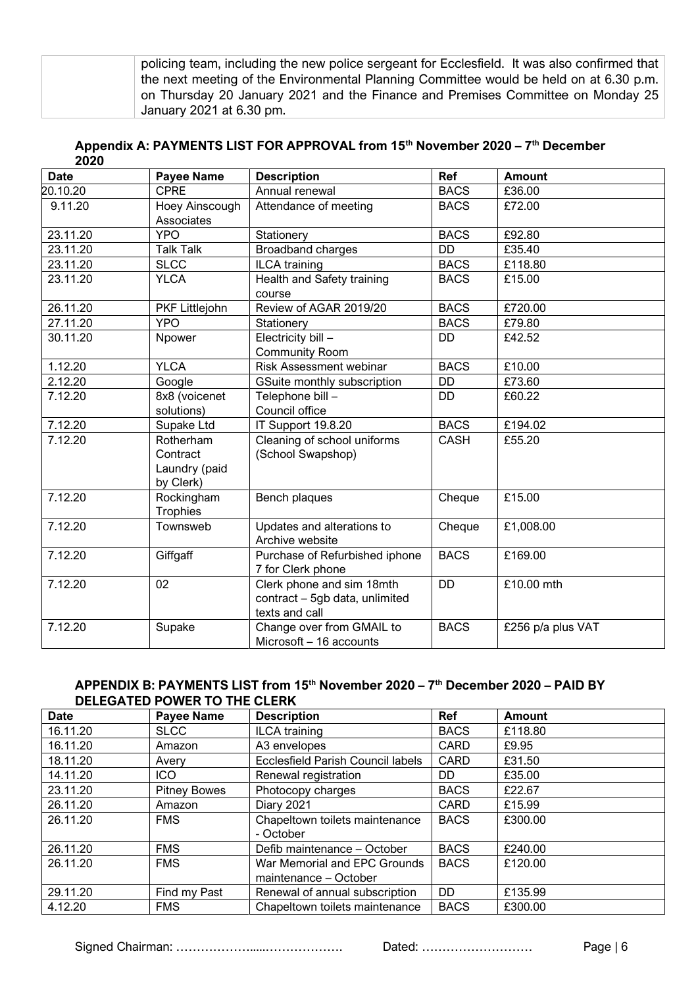| policing team, including the new police sergeant for Ecclesfield. It was also confirmed that |
|----------------------------------------------------------------------------------------------|
| the next meeting of the Environmental Planning Committee would be held on at 6.30 p.m.       |
| on Thursday 20 January 2021 and the Finance and Premises Committee on Monday 25              |
| January 2021 at 6.30 pm.                                                                     |

#### **Appendix A: PAYMENTS LIST FOR APPROVAL from 15th November 2020 – 7 th December 2020**

| <b>Date</b> | <b>Payee Name</b>                                   | <b>Description</b>                                                            | Ref         | <b>Amount</b>     |
|-------------|-----------------------------------------------------|-------------------------------------------------------------------------------|-------------|-------------------|
| 20.10.20    | <b>CPRE</b>                                         | Annual renewal                                                                | <b>BACS</b> | £36.00            |
| 9.11.20     | Hoey Ainscough<br>Associates                        | Attendance of meeting                                                         | <b>BACS</b> | £72.00            |
| 23.11.20    | <b>YPO</b>                                          | Stationery                                                                    | <b>BACS</b> | £92.80            |
| 23.11.20    | <b>Talk Talk</b>                                    | Broadband charges                                                             | <b>DD</b>   | £35.40            |
| 23.11.20    | <b>SLCC</b>                                         | <b>ILCA</b> training                                                          | <b>BACS</b> | £118.80           |
| 23.11.20    | <b>YLCA</b>                                         | Health and Safety training<br>course                                          | <b>BACS</b> | £15.00            |
| 26.11.20    | PKF Littlejohn                                      | Review of AGAR 2019/20                                                        | <b>BACS</b> | £720.00           |
| 27.11.20    | <b>YPO</b>                                          | Stationery                                                                    | <b>BACS</b> | £79.80            |
| 30.11.20    | Npower                                              | Electricity bill -<br><b>Community Room</b>                                   | <b>DD</b>   | £42.52            |
| 1.12.20     | <b>YLCA</b>                                         | Risk Assessment webinar                                                       | <b>BACS</b> | £10.00            |
| 2.12.20     | Google                                              | GSuite monthly subscription                                                   | <b>DD</b>   | £73.60            |
| 7.12.20     | 8x8 (voicenet<br>solutions)                         | Telephone bill -<br>Council office                                            | <b>DD</b>   | £60.22            |
| 7.12.20     | Supake Ltd                                          | IT Support 19.8.20                                                            | <b>BACS</b> | £194.02           |
| 7.12.20     | Rotherham<br>Contract<br>Laundry (paid<br>by Clerk) | Cleaning of school uniforms<br>(School Swapshop)                              | <b>CASH</b> | £55.20            |
| 7.12.20     | Rockingham<br><b>Trophies</b>                       | Bench plaques                                                                 | Cheque      | £15.00            |
| 7.12.20     | Townsweb                                            | Updates and alterations to<br>Archive website                                 | Cheque      | £1,008.00         |
| 7.12.20     | Giffgaff                                            | Purchase of Refurbished iphone<br>7 for Clerk phone                           | <b>BACS</b> | £169.00           |
| 7.12.20     | 02                                                  | Clerk phone and sim 18mth<br>contract - 5gb data, unlimited<br>texts and call | <b>DD</b>   | £10.00 mth        |
| 7.12.20     | Supake                                              | Change over from GMAIL to<br>Microsoft - 16 accounts                          | <b>BACS</b> | £256 p/a plus VAT |

#### **APPENDIX B: PAYMENTS LIST from 15th November 2020 – 7 th December 2020 – PAID BY DELEGATED POWER TO THE CLERK**

| <b>Date</b> | <b>Payee Name</b>   | <b>Description</b>                | <b>Ref</b>  | <b>Amount</b> |
|-------------|---------------------|-----------------------------------|-------------|---------------|
| 16.11.20    | <b>SLCC</b>         | <b>ILCA</b> training              | <b>BACS</b> | £118.80       |
| 16.11.20    | Amazon              | A3 envelopes                      | CARD        | £9.95         |
| 18.11.20    | Avery               | Ecclesfield Parish Council labels | <b>CARD</b> | £31.50        |
| 14.11.20    | <b>ICO</b>          | Renewal registration              | DD.         | £35.00        |
| 23.11.20    | <b>Pitney Bowes</b> | Photocopy charges                 | <b>BACS</b> | £22.67        |
| 26.11.20    | Amazon              | <b>Diary 2021</b>                 | <b>CARD</b> | £15.99        |
| 26.11.20    | <b>FMS</b>          | Chapeltown toilets maintenance    | <b>BACS</b> | £300.00       |
|             |                     | - October                         |             |               |
| 26.11.20    | <b>FMS</b>          | Defib maintenance - October       | <b>BACS</b> | £240.00       |
| 26.11.20    | <b>FMS</b>          | War Memorial and EPC Grounds      | <b>BACS</b> | £120.00       |
|             |                     | maintenance - October             |             |               |
| 29.11.20    | Find my Past        | Renewal of annual subscription    | DD          | £135.99       |
| 4.12.20     | <b>FMS</b>          | Chapeltown toilets maintenance    | <b>BACS</b> | £300.00       |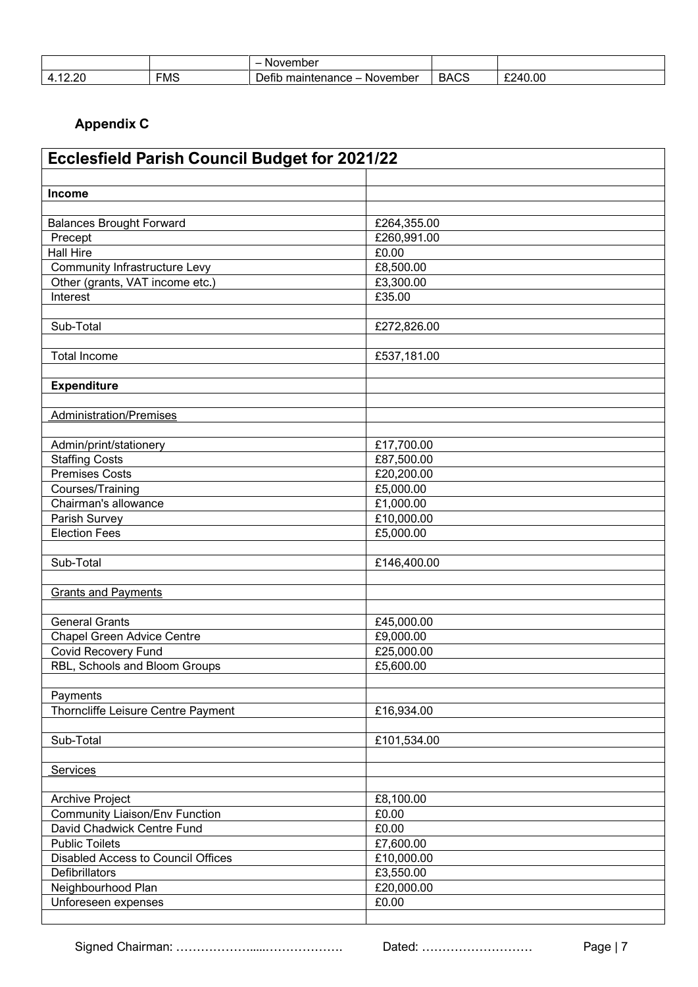|                                          |            | November                                      |                       |         |
|------------------------------------------|------------|-----------------------------------------------|-----------------------|---------|
| റ<br>А<br>$\overline{ }$<br>. .<br>— L V | <b>FMS</b> | --<br>-<br>Defib<br>November<br>maintenance - | $\sim$<br><b>BACS</b> | £240.00 |

# **Appendix C**

| <b>Ecclesfield Parish Council Budget for 2021/22</b> |             |  |  |
|------------------------------------------------------|-------------|--|--|
|                                                      |             |  |  |
| Income                                               |             |  |  |
|                                                      |             |  |  |
| <b>Balances Brought Forward</b>                      | £264,355.00 |  |  |
| Precept                                              | £260,991.00 |  |  |
| Hall Hire                                            | £0.00       |  |  |
| Community Infrastructure Levy                        | £8,500.00   |  |  |
| Other (grants, VAT income etc.)                      | £3,300.00   |  |  |
| Interest                                             | £35.00      |  |  |
|                                                      |             |  |  |
| Sub-Total                                            | £272,826.00 |  |  |
| <b>Total Income</b>                                  |             |  |  |
|                                                      | £537,181.00 |  |  |
| <b>Expenditure</b>                                   |             |  |  |
|                                                      |             |  |  |
| Administration/Premises                              |             |  |  |
|                                                      |             |  |  |
| Admin/print/stationery                               | £17,700.00  |  |  |
| <b>Staffing Costs</b>                                | £87,500.00  |  |  |
| <b>Premises Costs</b>                                | £20,200.00  |  |  |
| Courses/Training                                     | £5,000.00   |  |  |
| Chairman's allowance                                 | £1,000.00   |  |  |
| Parish Survey                                        | £10,000.00  |  |  |
| <b>Election Fees</b>                                 | £5,000.00   |  |  |
|                                                      |             |  |  |
| Sub-Total                                            | £146,400.00 |  |  |
|                                                      |             |  |  |
| <b>Grants and Payments</b>                           |             |  |  |
|                                                      |             |  |  |
| <b>General Grants</b>                                | £45,000.00  |  |  |
| Chapel Green Advice Centre                           | £9,000.00   |  |  |
| Covid Recovery Fund                                  | £25,000.00  |  |  |
| RBL, Schools and Bloom Groups                        | £5,600.00   |  |  |
|                                                      |             |  |  |
| Payments<br>Thorncliffe Leisure Centre Payment       | £16,934.00  |  |  |
|                                                      |             |  |  |
| Sub-Total                                            | £101,534.00 |  |  |
|                                                      |             |  |  |
| <b>Services</b>                                      |             |  |  |
|                                                      |             |  |  |
| <b>Archive Project</b>                               | £8,100.00   |  |  |
| <b>Community Liaison/Env Function</b>                | £0.00       |  |  |
| David Chadwick Centre Fund                           | £0.00       |  |  |
| <b>Public Toilets</b>                                | £7,600.00   |  |  |
| <b>Disabled Access to Council Offices</b>            | £10,000.00  |  |  |
| Defibrillators                                       | £3,550.00   |  |  |
| Neighbourhood Plan                                   | £20,000.00  |  |  |
| Unforeseen expenses                                  | £0.00       |  |  |
|                                                      |             |  |  |